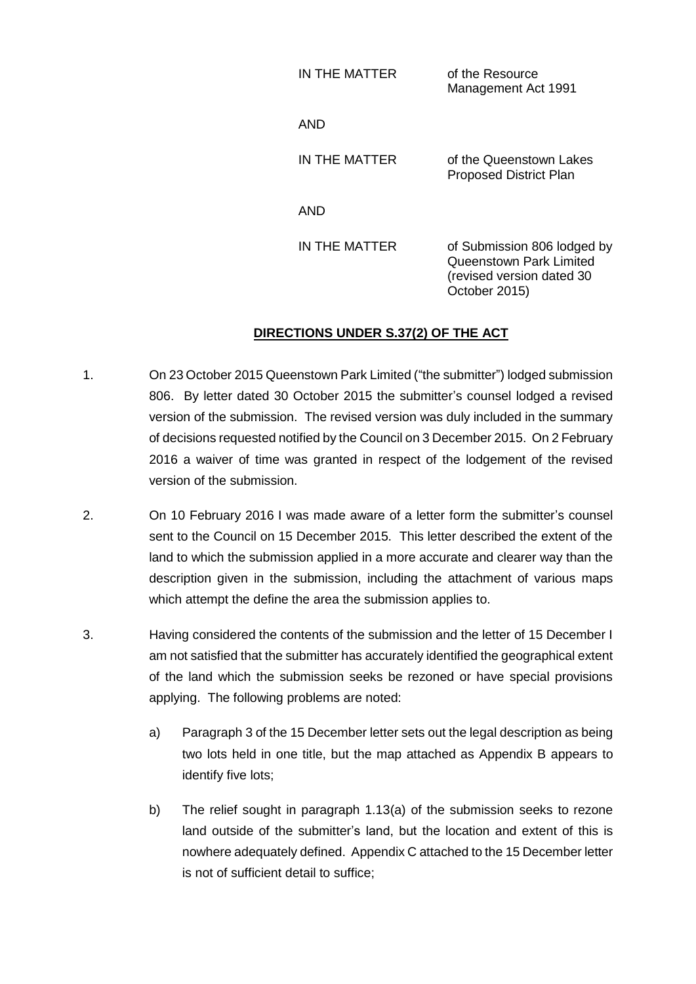| IN THE MATTER | of the Resource<br>Management Act 1991                                                                |
|---------------|-------------------------------------------------------------------------------------------------------|
| AND           |                                                                                                       |
| IN THE MATTER | of the Queenstown Lakes<br><b>Proposed District Plan</b>                                              |
| AND           |                                                                                                       |
| IN THE MATTER | of Submission 806 lodged by<br>Queenstown Park Limited<br>(revised version dated 30)<br>October 2015) |

## **DIRECTIONS UNDER S.37(2) OF THE ACT**

- 1. On 23 October 2015 Queenstown Park Limited ("the submitter") lodged submission 806. By letter dated 30 October 2015 the submitter's counsel lodged a revised version of the submission. The revised version was duly included in the summary of decisions requested notified by the Council on 3 December 2015. On 2 February 2016 a waiver of time was granted in respect of the lodgement of the revised version of the submission.
- 2. On 10 February 2016 I was made aware of a letter form the submitter's counsel sent to the Council on 15 December 2015. This letter described the extent of the land to which the submission applied in a more accurate and clearer way than the description given in the submission, including the attachment of various maps which attempt the define the area the submission applies to.
- 3. Having considered the contents of the submission and the letter of 15 December I am not satisfied that the submitter has accurately identified the geographical extent of the land which the submission seeks be rezoned or have special provisions applying. The following problems are noted:
	- a) Paragraph 3 of the 15 December letter sets out the legal description as being two lots held in one title, but the map attached as Appendix B appears to identify five lots;
	- b) The relief sought in paragraph 1.13(a) of the submission seeks to rezone land outside of the submitter's land, but the location and extent of this is nowhere adequately defined. Appendix C attached to the 15 December letter is not of sufficient detail to suffice;